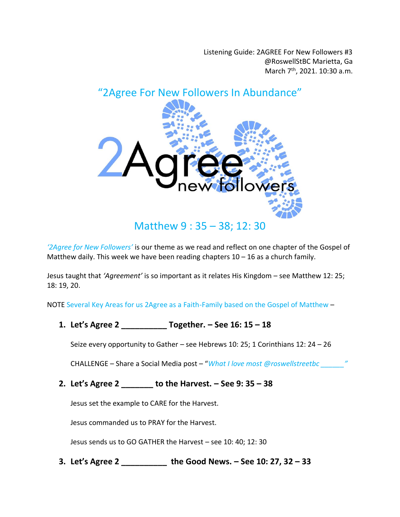Listening Guide: 2AGREE For New Followers #3 @RoswellStBC Marietta, Ga March 7<sup>th</sup>, 2021. 10:30 a.m.



*'2Agree for New Followers'* is our theme as we read and reflect on one chapter of the Gospel of Matthew daily. This week we have been reading chapters  $10 - 16$  as a church family.

Jesus taught that *'Agreement'* is so important as it relates His Kingdom – see Matthew 12: 25; 18: 19, 20.

NOTE Several Key Areas for us 2Agree as a Faith-Family based on the Gospel of Matthew –

**1. Let's Agree 2 \_\_\_\_\_\_\_\_\_\_ Together. – See 16: 15 – 18**

Seize every opportunity to Gather – see Hebrews 10: 25; 1 Corinthians 12: 24 – 26

CHALLENGE – Share a Social Media post – "*What I love most @roswellstreetbc \_\_\_\_\_\_"*

**2. Let's Agree 2 \_\_\_\_\_\_\_ to the Harvest. – See 9: 35 – 38**

Jesus set the example to CARE for the Harvest.

Jesus commanded us to PRAY for the Harvest.

Jesus sends us to GO GATHER the Harvest – see 10: 40; 12: 30

**3. Let's Agree 2 \_\_\_\_\_\_\_\_\_\_ the Good News. – See 10: 27, 32 – 33**